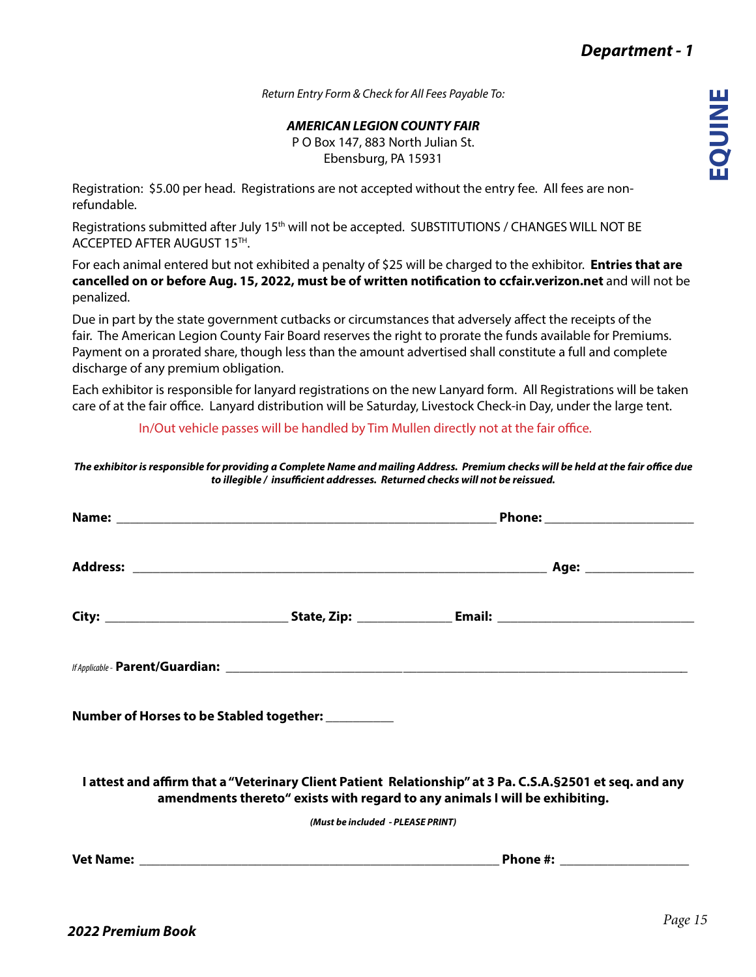*Return Entry Form & Check for All Fees Payable To:*

*AMERICAN LEGION COUNTY FAIR*

P O Box 147, 883 North Julian St. Ebensburg, PA 15931

Registration: \$5.00 per head. Registrations are not accepted without the entry fee. All fees are nonrefundable.

Registrations submitted after July 15<sup>th</sup> will not be accepted. SUBSTITUTIONS / CHANGES WILL NOT BE ACCEPTED AFTER AUGUST 15TH.

For each animal entered but not exhibited a penalty of \$25 will be charged to the exhibitor. **Entries that are cancelled on or before Aug. 15, 2022, must be of written notification to ccfair.verizon.net** and will not be penalized.

Due in part by the state government cutbacks or circumstances that adversely affect the receipts of the fair. The American Legion County Fair Board reserves the right to prorate the funds available for Premiums. Payment on a prorated share, though less than the amount advertised shall constitute a full and complete discharge of any premium obligation.

Each exhibitor is responsible for lanyard registrations on the new Lanyard form. All Registrations will be taken care of at the fair office. Lanyard distribution will be Saturday, Livestock Check-in Day, under the large tent.

In/Out vehicle passes will be handled by Tim Mullen directly not at the fair office.

*The exhibitor is responsible for providing a Complete Name and mailing Address. Premium checks will be held at the fair office due to illegible / insufficient addresses. Returned checks will not be reissued.*

| Number of Horses to be Stabled together: __________                                                                                                                                                                            |  |  |  |  |  |  |  |
|--------------------------------------------------------------------------------------------------------------------------------------------------------------------------------------------------------------------------------|--|--|--|--|--|--|--|
| I attest and affirm that a "Veterinary Client Patient Relationship" at 3 Pa. C.S.A. § 2501 et seq. and any<br>amendments thereto" exists with regard to any animals I will be exhibiting.<br>(Must be included - PLEASE PRINT) |  |  |  |  |  |  |  |
|                                                                                                                                                                                                                                |  |  |  |  |  |  |  |
|                                                                                                                                                                                                                                |  |  |  |  |  |  |  |
|                                                                                                                                                                                                                                |  |  |  |  |  |  |  |